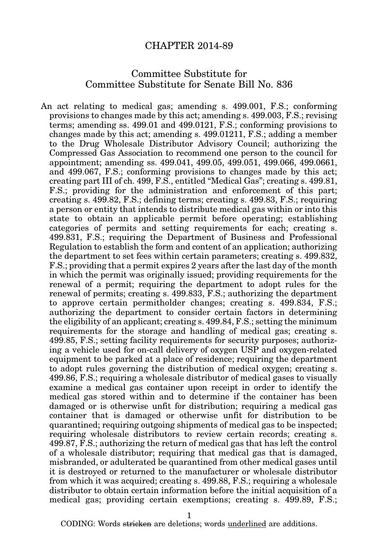## CHAPTER 2014-89

## Committee Substitute for Committee Substitute for Senate Bill No. 836

An act relating to medical gas; amending s. 499.001, F.S.; conforming provisions to changes made by this act; amending s. 499.003, F.S.; revising terms; amending ss. 499.01 and 499.0121, F.S.; conforming provisions to changes made by this act; amending s. 499.01211, F.S.; adding a member to the Drug Wholesale Distributor Advisory Council; authorizing the Compressed Gas Association to recommend one person to the council for appointment; amending ss. 499.041, 499.05, 499.051, 499.066, 499.0661, and 499.067, F.S.; conforming provisions to changes made by this act; creating part III of ch. 499, F.S., entitled "Medical Gas"; creating s. 499.81, F.S.; providing for the administration and enforcement of this part; creating s. 499.82, F.S.; defining terms; creating s. 499.83, F.S.; requiring a person or entity that intends to distribute medical gas within or into this state to obtain an applicable permit before operating; establishing categories of permits and setting requirements for each; creating s. 499.831, F.S.; requiring the Department of Business and Professional Regulation to establish the form and content of an application; authorizing the department to set fees within certain parameters; creating s. 499.832, F.S.; providing that a permit expires 2 years after the last day of the month in which the permit was originally issued; providing requirements for the renewal of a permit; requiring the department to adopt rules for the renewal of permits; creating s. 499.833, F.S.; authorizing the department to approve certain permitholder changes; creating s. 499.834, F.S.; authorizing the department to consider certain factors in determining the eligibility of an applicant; creating s. 499.84, F.S.; setting the minimum requirements for the storage and handling of medical gas; creating s. 499.85, F.S.; setting facility requirements for security purposes; authorizing a vehicle used for on-call delivery of oxygen USP and oxygen-related equipment to be parked at a place of residence; requiring the department to adopt rules governing the distribution of medical oxygen; creating s. 499.86, F.S.; requiring a wholesale distributor of medical gases to visually examine a medical gas container upon receipt in order to identify the medical gas stored within and to determine if the container has been damaged or is otherwise unfit for distribution; requiring a medical gas container that is damaged or otherwise unfit for distribution to be quarantined; requiring outgoing shipments of medical gas to be inspected; requiring wholesale distributors to review certain records; creating s. 499.87, F.S.; authorizing the return of medical gas that has left the control of a wholesale distributor; requiring that medical gas that is damaged, misbranded, or adulterated be quarantined from other medical gases until it is destroyed or returned to the manufacturer or wholesale distributor from which it was acquired; creating s. 499.88, F.S.; requiring a wholesale distributor to obtain certain information before the initial acquisition of a medical gas; providing certain exemptions; creating s. 499.89, F.S.;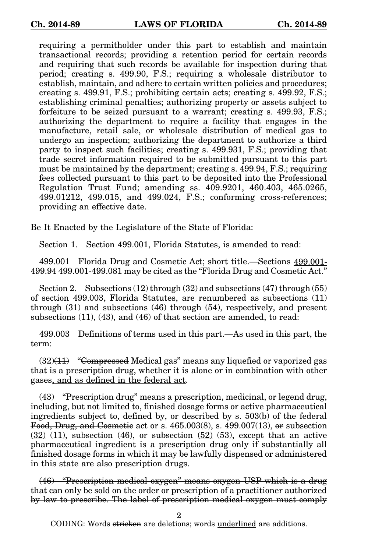requiring a permitholder under this part to establish and maintain transactional records; providing a retention period for certain records and requiring that such records be available for inspection during that period; creating s. 499.90, F.S.; requiring a wholesale distributor to establish, maintain, and adhere to certain written policies and procedures; creating s. 499.91, F.S.; prohibiting certain acts; creating s. 499.92, F.S.; establishing criminal penalties; authorizing property or assets subject to forfeiture to be seized pursuant to a warrant; creating s. 499.93, F.S.; authorizing the department to require a facility that engages in the manufacture, retail sale, or wholesale distribution of medical gas to undergo an inspection; authorizing the department to authorize a third party to inspect such facilities; creating s. 499.931, F.S.; providing that trade secret information required to be submitted pursuant to this part must be maintained by the department; creating s. 499.94, F.S.; requiring fees collected pursuant to this part to be deposited into the Professional Regulation Trust Fund; amending ss. 409.9201, 460.403, 465.0265, 499.01212, 499.015, and 499.024, F.S.; conforming cross-references; providing an effective date.

Be It Enacted by the Legislature of the State of Florida:

Section 1. Section 499.001, Florida Statutes, is amended to read:

499.001 Florida Drug and Cosmetic Act; short title.—Sections 499.001- 499.94 499.001-499.081 may be cited as the "Florida Drug and Cosmetic Act."

Section 2. Subsections (12) through (32) and subsections (47) through (55) of section 499.003, Florida Statutes, are renumbered as subsections (11) through (31) and subsections (46) through (54), respectively, and present subsections (11), (43), and (46) of that section are amended, to read:

499.003 Definitions of terms used in this part.—As used in this part, the term:

 $(32)(11)$  "Compressed Medical gas" means any liquefied or vaporized gas that is a prescription drug, whether  $\ddot{\textbf{t}}$  is alone or in combination with other gases, and as defined in the federal act.

(43) "Prescription drug" means a prescription, medicinal, or legend drug, including, but not limited to, finished dosage forms or active pharmaceutical ingredients subject to, defined by, or described by s. 503(b) of the federal Food, Drug, and Cosmetic act or s.  $465.003(8)$ , s.  $499.007(13)$ , or subsection  $(32)$   $(11)$ , subsection  $(46)$ , or subsection  $(52)$   $(53)$ , except that an active pharmaceutical ingredient is a prescription drug only if substantially all finished dosage forms in which it may be lawfully dispensed or administered in this state are also prescription drugs.

(46) "Prescription medical oxygen" means oxygen USP which is a drug that can only be sold on the order or prescription of a practitioner authorized by law to prescribe. The label of prescription medical oxygen must comply

2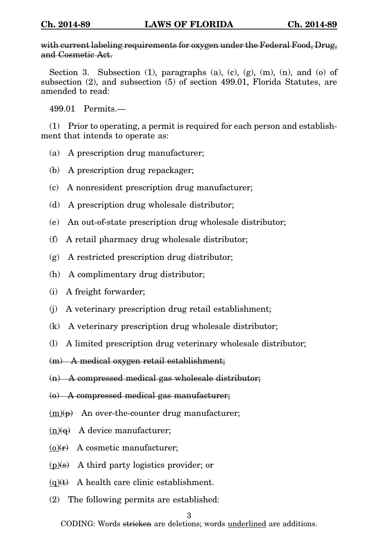with current labeling requirements for oxygen under the Federal Food, Drug, and Cosmetic Act.

Section 3. Subsection  $(1)$ , paragraphs  $(a)$ ,  $(c)$ ,  $(g)$ ,  $(m)$ ,  $(n)$ , and  $(o)$  of subsection (2), and subsection (5) of section 499.01, Florida Statutes, are amended to read:

499.01 Permits.—

(1) Prior to operating, a permit is required for each person and establishment that intends to operate as:

- (a) A prescription drug manufacturer;
- (b) A prescription drug repackager;
- (c) A nonresident prescription drug manufacturer;
- (d) A prescription drug wholesale distributor;
- (e) An out-of-state prescription drug wholesale distributor;
- (f) A retail pharmacy drug wholesale distributor;
- (g) A restricted prescription drug distributor;
- (h) A complimentary drug distributor;
- (i) A freight forwarder;
- (j) A veterinary prescription drug retail establishment;
- (k) A veterinary prescription drug wholesale distributor;
- (l) A limited prescription drug veterinary wholesale distributor;

(m) A medical oxygen retail establishment;

- (n) A compressed medical gas wholesale distributor;
- (o) A compressed medical gas manufacturer;
- $(m)(p)$  An over-the-counter drug manufacturer;
- $(n)(\theta)$  A device manufacturer:
- $(o)(r)$  A cosmetic manufacturer;
- $(p)(s)$  A third party logistics provider; or
- $(q)(t)$  A health care clinic establishment.
- (2) The following permits are established:

## 3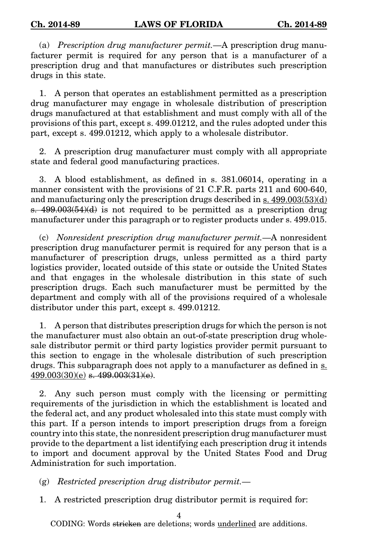(a) Prescription drug manufacturer permit.—A prescription drug manufacturer permit is required for any person that is a manufacturer of a prescription drug and that manufactures or distributes such prescription drugs in this state.

1. A person that operates an establishment permitted as a prescription drug manufacturer may engage in wholesale distribution of prescription drugs manufactured at that establishment and must comply with all of the provisions of this part, except s. 499.01212, and the rules adopted under this part, except s. 499.01212, which apply to a wholesale distributor.

2. A prescription drug manufacturer must comply with all appropriate state and federal good manufacturing practices.

3. A blood establishment, as defined in s. 381.06014, operating in a manner consistent with the provisions of 21 C.F.R. parts 211 and 600-640, and manufacturing only the prescription drugs described in s. 499.003(53)(d) s. 499.003(54)(d) is not required to be permitted as a prescription drug manufacturer under this paragraph or to register products under s. 499.015.

(c) Nonresident prescription drug manufacturer permit.—A nonresident prescription drug manufacturer permit is required for any person that is a manufacturer of prescription drugs, unless permitted as a third party logistics provider, located outside of this state or outside the United States and that engages in the wholesale distribution in this state of such prescription drugs. Each such manufacturer must be permitted by the department and comply with all of the provisions required of a wholesale distributor under this part, except s. 499.01212.

1. A person that distributes prescription drugs for which the person is not the manufacturer must also obtain an out-of-state prescription drug wholesale distributor permit or third party logistics provider permit pursuant to this section to engage in the wholesale distribution of such prescription drugs. This subparagraph does not apply to a manufacturer as defined in  $s$ .  $499.003(30)(e)$  s.  $499.003(31)(e)$ .

2. Any such person must comply with the licensing or permitting requirements of the jurisdiction in which the establishment is located and the federal act, and any product wholesaled into this state must comply with this part. If a person intends to import prescription drugs from a foreign country into this state, the nonresident prescription drug manufacturer must provide to the department a list identifying each prescription drug it intends to import and document approval by the United States Food and Drug Administration for such importation.

 $(g)$  Restricted prescription drug distributor permit.—

1. A restricted prescription drug distributor permit is required for:

4

CODING: Words <del>stricken</del> are deletions; words <u>underlined</u> are additions.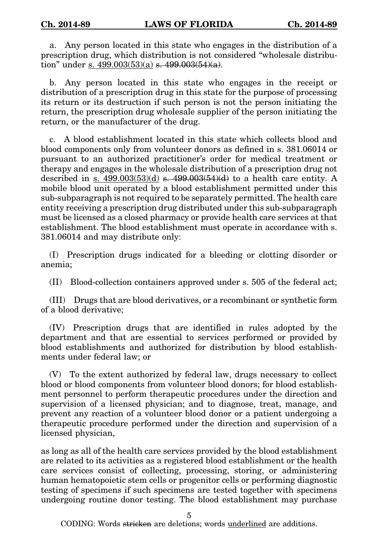a. Any person located in this state who engages in the distribution of a prescription drug, which distribution is not considered "wholesale distribution" under s.  $499.003(53)(a)$  s.  $499.003(54)(a)$ .

b. Any person located in this state who engages in the receipt or distribution of a prescription drug in this state for the purpose of processing its return or its destruction if such person is not the person initiating the return, the prescription drug wholesale supplier of the person initiating the return, or the manufacturer of the drug.

c. A blood establishment located in this state which collects blood and blood components only from volunteer donors as defined in s. 381.06014 or pursuant to an authorized practitioner's order for medical treatment or therapy and engages in the wholesale distribution of a prescription drug not described in s.  $499.003(53)(d)$  s.  $499.003(54)(d)$  to a health care entity. A mobile blood unit operated by a blood establishment permitted under this sub-subparagraph is not required to be separately permitted. The health care entity receiving a prescription drug distributed under this sub-subparagraph must be licensed as a closed pharmacy or provide health care services at that establishment. The blood establishment must operate in accordance with s. 381.06014 and may distribute only:

(I) Prescription drugs indicated for a bleeding or clotting disorder or anemia;

(II) Blood-collection containers approved under s. 505 of the federal act;

(III) Drugs that are blood derivatives, or a recombinant or synthetic form of a blood derivative;

(IV) Prescription drugs that are identified in rules adopted by the department and that are essential to services performed or provided by blood establishments and authorized for distribution by blood establishments under federal law; or

(V) To the extent authorized by federal law, drugs necessary to collect blood or blood components from volunteer blood donors; for blood establishment personnel to perform therapeutic procedures under the direction and supervision of a licensed physician; and to diagnose, treat, manage, and prevent any reaction of a volunteer blood donor or a patient undergoing a therapeutic procedure performed under the direction and supervision of a licensed physician,

as long as all of the health care services provided by the blood establishment are related to its activities as a registered blood establishment or the health care services consist of collecting, processing, storing, or administering human hematopoietic stem cells or progenitor cells or performing diagnostic testing of specimens if such specimens are tested together with specimens undergoing routine donor testing. The blood establishment may purchase

5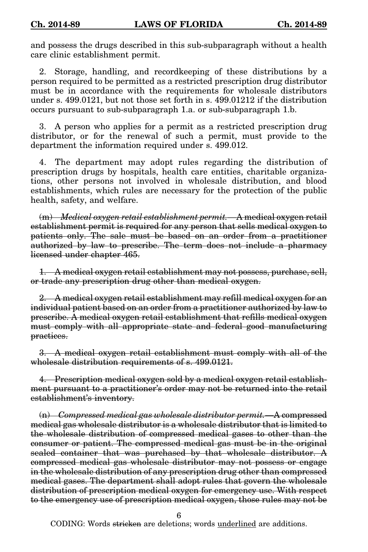and possess the drugs described in this sub-subparagraph without a health care clinic establishment permit.

2. Storage, handling, and recordkeeping of these distributions by a person required to be permitted as a restricted prescription drug distributor must be in accordance with the requirements for wholesale distributors under s. 499.0121, but not those set forth in s. 499.01212 if the distribution occurs pursuant to sub-subparagraph 1.a. or sub-subparagraph 1.b.

3. A person who applies for a permit as a restricted prescription drug distributor, or for the renewal of such a permit, must provide to the department the information required under s. 499.012.

4. The department may adopt rules regarding the distribution of prescription drugs by hospitals, health care entities, charitable organizations, other persons not involved in wholesale distribution, and blood establishments, which rules are necessary for the protection of the public health, safety, and welfare.

(m) Medical oxygen retail establishment permit.—A medical oxygen retail establishment permit is required for any person that sells medical oxygen to patients only. The sale must be based on an order from a practitioner authorized by law to prescribe. The term does not include a pharmacy licensed under chapter 465.

1. A medical oxygen retail establishment may not possess, purchase, sell, or trade any prescription drug other than medical oxygen.

2. A medical oxygen retail establishment may refill medical oxygen for an individual patient based on an order from a practitioner authorized by law to prescribe. A medical oxygen retail establishment that refills medical oxygen must comply with all appropriate state and federal good manufacturing practices.

3. A medical oxygen retail establishment must comply with all of the wholesale distribution requirements of s. 499.0121.

4. Prescription medical oxygen sold by a medical oxygen retail establishment pursuant to a practitioner's order may not be returned into the retail establishment's inventory.

(n) Compressed medical gas wholesale distributor permit.—A compressed medical gas wholesale distributor is a wholesale distributor that is limited to the wholesale distribution of compressed medical gases to other than the consumer or patient. The compressed medical gas must be in the original sealed container that was purchased by that wholesale distributor. A compressed medical gas wholesale distributor may not possess or engage in the wholesale distribution of any prescription drug other than compressed medical gases. The department shall adopt rules that govern the wholesale distribution of prescription medical oxygen for emergency use. With respect to the emergency use of prescription medical oxygen, those rules may not be

6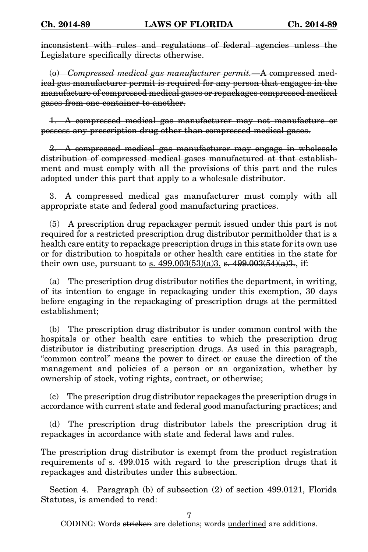inconsistent with rules and regulations of federal agencies unless the Legislature specifically directs otherwise.

(o) Compressed medical gas manufacturer permit.—A compressed medical gas manufacturer permit is required for any person that engages in the manufacture of compressed medical gases or repackages compressed medical gases from one container to another.

1. A compressed medical gas manufacturer may not manufacture or possess any prescription drug other than compressed medical gases.

2. A compressed medical gas manufacturer may engage in wholesale distribution of compressed medical gases manufactured at that establishment and must comply with all the provisions of this part and the rules adopted under this part that apply to a wholesale distributor.

3. A compressed medical gas manufacturer must comply with all appropriate state and federal good manufacturing practices.

(5) A prescription drug repackager permit issued under this part is not required for a restricted prescription drug distributor permitholder that is a health care entity to repackage prescription drugs in this state for its own use or for distribution to hospitals or other health care entities in the state for their own use, pursuant to <u>s. 499.003(53)(a)3.</u> s. 499.003(54)(a)3., if:

(a) The prescription drug distributor notifies the department, in writing, of its intention to engage in repackaging under this exemption, 30 days before engaging in the repackaging of prescription drugs at the permitted establishment;

(b) The prescription drug distributor is under common control with the hospitals or other health care entities to which the prescription drug distributor is distributing prescription drugs. As used in this paragraph, "common control" means the power to direct or cause the direction of the management and policies of a person or an organization, whether by ownership of stock, voting rights, contract, or otherwise;

The prescription drug distributor repackages the prescription drugs in accordance with current state and federal good manufacturing practices; and

(d) The prescription drug distributor labels the prescription drug it repackages in accordance with state and federal laws and rules.

The prescription drug distributor is exempt from the product registration requirements of s. 499.015 with regard to the prescription drugs that it repackages and distributes under this subsection.

Section 4. Paragraph (b) of subsection (2) of section 499.0121, Florida Statutes, is amended to read:

7

CODING: Words <del>stricken</del> are deletions; words <u>underlined</u> are additions.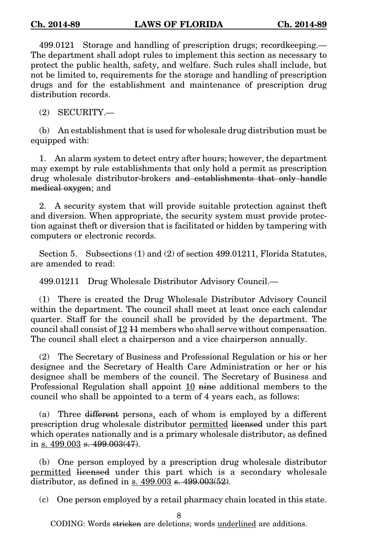499.0121 Storage and handling of prescription drugs; recordkeeping.— The department shall adopt rules to implement this section as necessary to protect the public health, safety, and welfare. Such rules shall include, but not be limited to, requirements for the storage and handling of prescription drugs and for the establishment and maintenance of prescription drug distribution records.

(2) SECURITY.—

(b) An establishment that is used for wholesale drug distribution must be equipped with:

1. An alarm system to detect entry after hours; however, the department may exempt by rule establishments that only hold a permit as prescription drug wholesale distributor-brokers and establishments that only handle medical oxygen; and

2. A security system that will provide suitable protection against theft and diversion. When appropriate, the security system must provide protection against theft or diversion that is facilitated or hidden by tampering with computers or electronic records.

Section 5. Subsections (1) and (2) of section 499.01211, Florida Statutes, are amended to read:

499.01211 Drug Wholesale Distributor Advisory Council.—

(1) There is created the Drug Wholesale Distributor Advisory Council within the department. The council shall meet at least once each calendar quarter. Staff for the council shall be provided by the department. The council shall consist of  $12 \cancel{11}$  members who shall serve without compensation. The council shall elect a chairperson and a vice chairperson annually.

(2) The Secretary of Business and Professional Regulation or his or her designee and the Secretary of Health Care Administration or her or his designee shall be members of the council. The Secretary of Business and Professional Regulation shall appoint  $10$  nine additional members to the council who shall be appointed to a term of 4 years each, as follows:

(a) Three different persons, each of whom is employed by a different prescription drug wholesale distributor permitted licensed under this part which operates nationally and is a primary wholesale distributor, as defined in s. 499.003 s. 499.003(47).

(b) One person employed by a prescription drug wholesale distributor permitted licensed under this part which is a secondary wholesale distributor, as defined in s. 499.003 s. 499.003(52).

(c) One person employed by a retail pharmacy chain located in this state.

8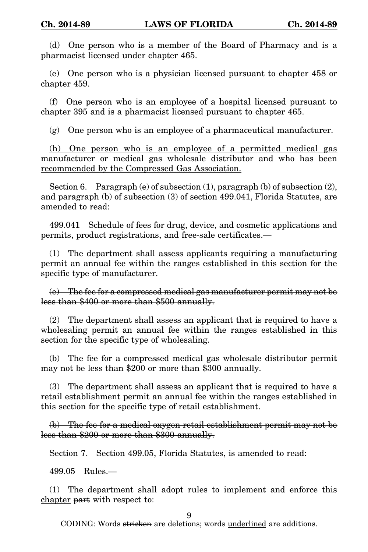(d) One person who is a member of the Board of Pharmacy and is a pharmacist licensed under chapter 465.

(e) One person who is a physician licensed pursuant to chapter 458 or chapter 459.

(f) One person who is an employee of a hospital licensed pursuant to chapter 395 and is a pharmacist licensed pursuant to chapter 465.

(g) One person who is an employee of a pharmaceutical manufacturer.

(h) One person who is an employee of a permitted medical gas manufacturer or medical gas wholesale distributor and who has been recommended by the Compressed Gas Association.

Section 6. Paragraph (e) of subsection  $(1)$ , paragraph  $(b)$  of subsection  $(2)$ , and paragraph (b) of subsection (3) of section 499.041, Florida Statutes, are amended to read:

499.041 Schedule of fees for drug, device, and cosmetic applications and permits, product registrations, and free-sale certificates.—

(1) The department shall assess applicants requiring a manufacturing permit an annual fee within the ranges established in this section for the specific type of manufacturer.

(e) The fee for a compressed medical gas manufacturer permit may not be less than \$400 or more than \$500 annually.

(2) The department shall assess an applicant that is required to have a wholesaling permit an annual fee within the ranges established in this section for the specific type of wholesaling.

(b) The fee for a compressed medical gas wholesale distributor permit may not be less than \$200 or more than \$300 annually.

(3) The department shall assess an applicant that is required to have a retail establishment permit an annual fee within the ranges established in this section for the specific type of retail establishment.

(b) The fee for a medical oxygen retail establishment permit may not be less than \$200 or more than \$300 annually.

Section 7. Section 499.05, Florida Statutes, is amended to read:

499.05 Rules.—

(1) The department shall adopt rules to implement and enforce this chapter part with respect to:

9

CODING: Words <del>stricken</del> are deletions; words <u>underlined</u> are additions.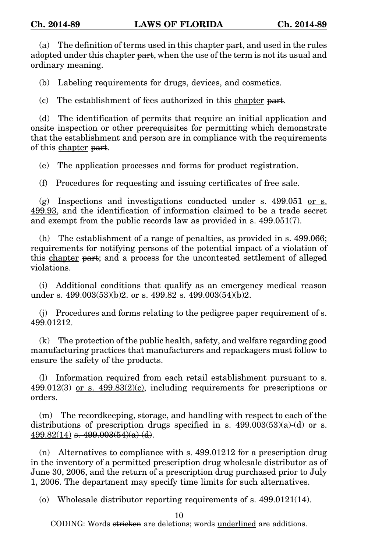(a) The definition of terms used in this chapter part, and used in the rules adopted under this chapter part, when the use of the term is not its usual and ordinary meaning.

(b) Labeling requirements for drugs, devices, and cosmetics.

(c) The establishment of fees authorized in this chapter part.

(d) The identification of permits that require an initial application and onsite inspection or other prerequisites for permitting which demonstrate that the establishment and person are in compliance with the requirements of this chapter part.

(e) The application processes and forms for product registration.

(f) Procedures for requesting and issuing certificates of free sale.

(g) Inspections and investigations conducted under s. 499.051 or s. 499.93, and the identification of information claimed to be a trade secret and exempt from the public records law as provided in s. 499.051(7).

(h) The establishment of a range of penalties, as provided in s. 499.066; requirements for notifying persons of the potential impact of a violation of this chapter part; and a process for the uncontested settlement of alleged violations.

(i) Additional conditions that qualify as an emergency medical reason under s.  $499.003(53)(b)2$ . or s.  $499.82$  s.  $499.003(54)(b)2$ .

(j) Procedures and forms relating to the pedigree paper requirement of s. 499.01212.

(k) The protection of the public health, safety, and welfare regarding good manufacturing practices that manufacturers and repackagers must follow to ensure the safety of the products.

(l) Information required from each retail establishment pursuant to s.  $499.012(3)$  or s.  $499.83(2)(c)$ , including requirements for prescriptions or orders.

(m) The recordkeeping, storage, and handling with respect to each of the distributions of prescription drugs specified in s.  $499.003(53)(a)-(d)$  or s.  $499.82(14)$  s.  $499.003(54)(a)-(d)$ .

(n) Alternatives to compliance with s. 499.01212 for a prescription drug in the inventory of a permitted prescription drug wholesale distributor as of June 30, 2006, and the return of a prescription drug purchased prior to July 1, 2006. The department may specify time limits for such alternatives.

(o) Wholesale distributor reporting requirements of s. 499.0121(14).

10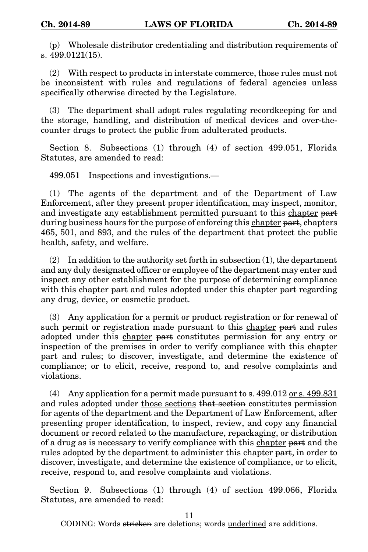(p) Wholesale distributor credentialing and distribution requirements of s. 499.0121(15).

(2) With respect to products in interstate commerce, those rules must not be inconsistent with rules and regulations of federal agencies unless specifically otherwise directed by the Legislature.

(3) The department shall adopt rules regulating recordkeeping for and the storage, handling, and distribution of medical devices and over-thecounter drugs to protect the public from adulterated products.

Section 8. Subsections (1) through (4) of section 499.051, Florida Statutes, are amended to read:

499.051 Inspections and investigations.—

(1) The agents of the department and of the Department of Law Enforcement, after they present proper identification, may inspect, monitor, and investigate any establishment permitted pursuant to this chapter part during business hours for the purpose of enforcing this chapter part, chapters 465, 501, and 893, and the rules of the department that protect the public health, safety, and welfare.

 $(2)$  In addition to the authority set forth in subsection  $(1)$ , the department and any duly designated officer or employee of the department may enter and inspect any other establishment for the purpose of determining compliance with this chapter part and rules adopted under this chapter part regarding any drug, device, or cosmetic product.

(3) Any application for a permit or product registration or for renewal of such permit or registration made pursuant to this chapter part and rules adopted under this chapter part constitutes permission for any entry or inspection of the premises in order to verify compliance with this chapter part and rules; to discover, investigate, and determine the existence of compliance; or to elicit, receive, respond to, and resolve complaints and violations.

(4) Any application for a permit made pursuant to s. 499.012 or s. 499.831 and rules adopted under those sections that section constitutes permission for agents of the department and the Department of Law Enforcement, after presenting proper identification, to inspect, review, and copy any financial document or record related to the manufacture, repackaging, or distribution of a drug as is necessary to verify compliance with this chapter part and the rules adopted by the department to administer this chapter part, in order to discover, investigate, and determine the existence of compliance, or to elicit, receive, respond to, and resolve complaints and violations.

Section 9. Subsections (1) through (4) of section 499.066, Florida Statutes, are amended to read:

11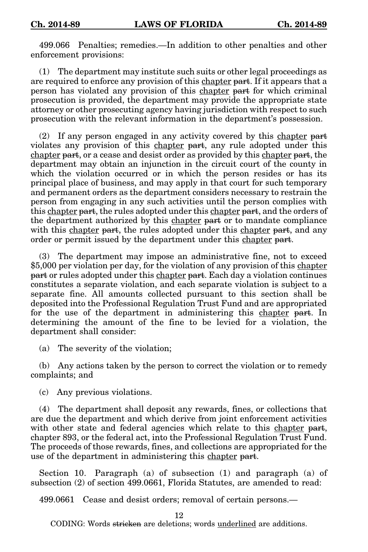499.066 Penalties; remedies.—In addition to other penalties and other enforcement provisions:

(1) The department may institute such suits or other legal proceedings as are required to enforce any provision of this chapter part. If it appears that a person has violated any provision of this chapter part for which criminal prosecution is provided, the department may provide the appropriate state attorney or other prosecuting agency having jurisdiction with respect to such prosecution with the relevant information in the department's possession.

(2) If any person engaged in any activity covered by this chapter part violates any provision of this chapter part, any rule adopted under this chapter part, or a cease and desist order as provided by this chapter part, the department may obtain an injunction in the circuit court of the county in which the violation occurred or in which the person resides or has its principal place of business, and may apply in that court for such temporary and permanent orders as the department considers necessary to restrain the person from engaging in any such activities until the person complies with this chapter part, the rules adopted under this chapter part, and the orders of the department authorized by this chapter part or to mandate compliance with this chapter part, the rules adopted under this chapter part, and any order or permit issued by the department under this chapter part.

(3) The department may impose an administrative fine, not to exceed \$5,000 per violation per day, for the violation of any provision of this chapter part or rules adopted under this chapter part. Each day a violation continues constitutes a separate violation, and each separate violation is subject to a separate fine. All amounts collected pursuant to this section shall be deposited into the Professional Regulation Trust Fund and are appropriated for the use of the department in administering this chapter part. In determining the amount of the fine to be levied for a violation, the department shall consider:

(a) The severity of the violation;

(b) Any actions taken by the person to correct the violation or to remedy complaints; and

(c) Any previous violations.

(4) The department shall deposit any rewards, fines, or collections that are due the department and which derive from joint enforcement activities with other state and federal agencies which relate to this chapter part, chapter 893, or the federal act, into the Professional Regulation Trust Fund. The proceeds of those rewards, fines, and collections are appropriated for the use of the department in administering this chapter part.

Section 10. Paragraph (a) of subsection (1) and paragraph (a) of subsection (2) of section 499.0661, Florida Statutes, are amended to read:

499.0661 Cease and desist orders; removal of certain persons.—

12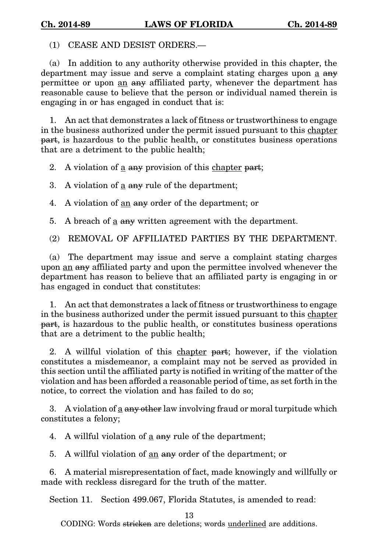(1) CEASE AND DESIST ORDERS.—

(a) In addition to any authority otherwise provided in this chapter, the department may issue and serve a complaint stating charges upon a  $a_{\text{H}}$ permittee or upon an any affiliated party, whenever the department has reasonable cause to believe that the person or individual named therein is engaging in or has engaged in conduct that is:

1. An act that demonstrates a lack of fitness or trustworthiness to engage in the business authorized under the permit issued pursuant to this chapter part, is hazardous to the public health, or constitutes business operations that are a detriment to the public health;

2. A violation of  $\underline{a}$  any provision of this chapter part;

3. A violation of  $\underline{a}$  any rule of the department;

4. A violation of <u>an</u> any order of the department; or

5. A breach of  $\underline{a}$  any written agreement with the department.

(2) REMOVAL OF AFFILIATED PARTIES BY THE DEPARTMENT.

(a) The department may issue and serve a complaint stating charges upon an any affiliated party and upon the permittee involved whenever the department has reason to believe that an affiliated party is engaging in or has engaged in conduct that constitutes:

1. An act that demonstrates a lack of fitness or trustworthiness to engage in the business authorized under the permit issued pursuant to this chapter part, is hazardous to the public health, or constitutes business operations that are a detriment to the public health;

2. A willful violation of this chapter part; however, if the violation constitutes a misdemeanor, a complaint may not be served as provided in this section until the affiliated party is notified in writing of the matter of the violation and has been afforded a reasonable period of time, as set forth in the notice, to correct the violation and has failed to do so;

3. A violation of a any other law involving fraud or moral turpitude which constitutes a felony;

4. A willful violation of  $\underline{a}$  any rule of the department;

5. A willful violation of an any order of the department; or

6. A material misrepresentation of fact, made knowingly and willfully or made with reckless disregard for the truth of the matter.

Section 11. Section 499.067, Florida Statutes, is amended to read:

13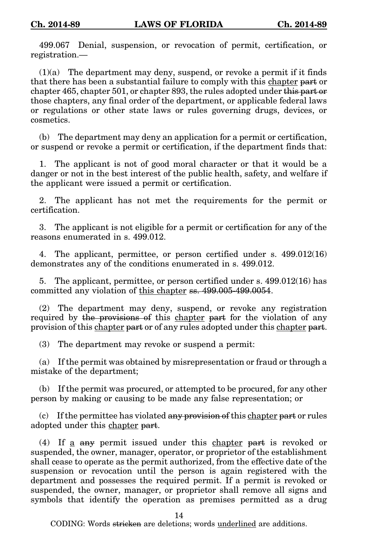499.067 Denial, suspension, or revocation of permit, certification, or registration.—

 $(1)(a)$  The department may deny, suspend, or revoke a permit if it finds that there has been a substantial failure to comply with this chapter part or chapter 465, chapter 501, or chapter 893, the rules adopted under this part or those chapters, any final order of the department, or applicable federal laws or regulations or other state laws or rules governing drugs, devices, or cosmetics.

(b) The department may deny an application for a permit or certification, or suspend or revoke a permit or certification, if the department finds that:

1. The applicant is not of good moral character or that it would be a danger or not in the best interest of the public health, safety, and welfare if the applicant were issued a permit or certification.

2. The applicant has not met the requirements for the permit or certification.

3. The applicant is not eligible for a permit or certification for any of the reasons enumerated in s. 499.012.

4. The applicant, permittee, or person certified under s. 499.012(16) demonstrates any of the conditions enumerated in s. 499.012.

5. The applicant, permittee, or person certified under s. 499.012(16) has committed any violation of this chapter ss. 499.005-499.0054.

(2) The department may deny, suspend, or revoke any registration required by the provisions of this chapter part for the violation of any provision of this chapter part or of any rules adopted under this chapter part.

(3) The department may revoke or suspend a permit:

(a) If the permit was obtained by misrepresentation or fraud or through a mistake of the department;

(b) If the permit was procured, or attempted to be procured, for any other person by making or causing to be made any false representation; or

 $(c)$  If the permittee has violated any provision of this chapter part or rules adopted under this chapter part.

(4) If a any permit issued under this chapter part is revoked or suspended, the owner, manager, operator, or proprietor of the establishment shall cease to operate as the permit authorized, from the effective date of the suspension or revocation until the person is again registered with the department and possesses the required permit. If a permit is revoked or suspended, the owner, manager, or proprietor shall remove all signs and symbols that identify the operation as premises permitted as a drug

14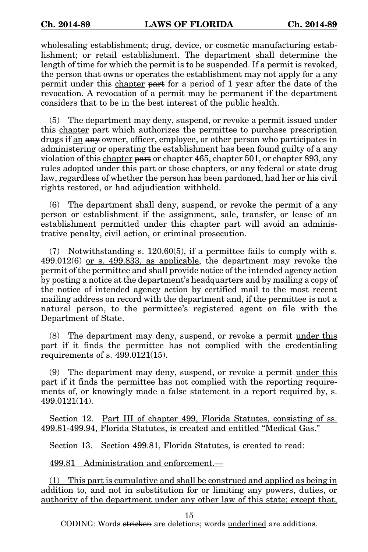wholesaling establishment; drug, device, or cosmetic manufacturing establishment; or retail establishment. The department shall determine the length of time for which the permit is to be suspended. If a permit is revoked, the person that owns or operates the establishment may not apply for a any permit under this chapter part for a period of 1 year after the date of the revocation. A revocation of a permit may be permanent if the department considers that to be in the best interest of the public health.

(5) The department may deny, suspend, or revoke a permit issued under this chapter part which authorizes the permittee to purchase prescription drugs if an any owner, officer, employee, or other person who participates in administering or operating the establishment has been found guilty of a any violation of this chapter part or chapter 465, chapter 501, or chapter 893, any rules adopted under this part or those chapters, or any federal or state drug law, regardless of whether the person has been pardoned, had her or his civil rights restored, or had adjudication withheld.

 $(6)$  The department shall deny, suspend, or revoke the permit of a  $\frac{1}{2}$ person or establishment if the assignment, sale, transfer, or lease of an establishment permitted under this chapter part will avoid an administrative penalty, civil action, or criminal prosecution.

(7) Notwithstanding s. 120.60(5), if a permittee fails to comply with s. 499.012(6) or s. 499.833, as applicable, the department may revoke the permit of the permittee and shall provide notice of the intended agency action by posting a notice at the department's headquarters and by mailing a copy of the notice of intended agency action by certified mail to the most recent mailing address on record with the department and, if the permittee is not a natural person, to the permittee's registered agent on file with the Department of State.

(8) The department may deny, suspend, or revoke a permit under this part if it finds the permittee has not complied with the credentialing requirements of s. 499.0121(15).

(9) The department may deny, suspend, or revoke a permit under this part if it finds the permittee has not complied with the reporting requirements of, or knowingly made a false statement in a report required by, s. 499.0121(14).

Section 12. <u>Part III of chapter 499, Florida Statutes, consisting of ss.</u> 499.81-499.94, Florida Statutes, is created and entitled "Medical Gas."

Section 13. Section 499.81, Florida Statutes, is created to read:

499.81 Administration and enforcement.—

(1) This part is cumulative and shall be construed and applied as being in addition to, and not in substitution for or limiting any powers, duties, or authority of the department under any other law of this state; except that,

15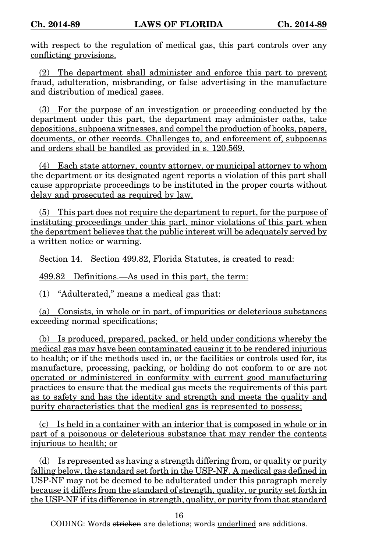with respect to the regulation of medical gas, this part controls over any conflicting provisions.

(2) The department shall administer and enforce this part to prevent fraud, adulteration, misbranding, or false advertising in the manufacture and distribution of medical gases.

(3) For the purpose of an investigation or proceeding conducted by the department under this part, the department may administer oaths, take depositions, subpoena witnesses, and compel the production of books, papers, documents, or other records. Challenges to, and enforcement of, subpoenas and orders shall be handled as provided in s. 120.569.

(4) Each state attorney, county attorney, or municipal attorney to whom the department or its designated agent reports a violation of this part shall cause appropriate proceedings to be instituted in the proper courts without delay and prosecuted as required by law.

(5) This part does not require the department to report, for the purpose of instituting proceedings under this part, minor violations of this part when the department believes that the public interest will be adequately served by a written notice or warning.

Section 14. Section 499.82, Florida Statutes, is created to read:

499.82 Definitions.—As used in this part, the term:

(1) "Adulterated," means a medical gas that:

(a) Consists, in whole or in part, of impurities or deleterious substances exceeding normal specifications;

(b) Is produced, prepared, packed, or held under conditions whereby the medical gas may have been contaminated causing it to be rendered injurious to health; or if the methods used in, or the facilities or controls used for, its manufacture, processing, packing, or holding do not conform to or are not operated or administered in conformity with current good manufacturing practices to ensure that the medical gas meets the requirements of this part as to safety and has the identity and strength and meets the quality and purity characteristics that the medical gas is represented to possess;

(c) Is held in a container with an interior that is composed in whole or in part of a poisonous or deleterious substance that may render the contents injurious to health; or

(d) Is represented as having a strength differing from, or quality or purity falling below, the standard set forth in the USP-NF. A medical gas defined in USP-NF may not be deemed to be adulterated under this paragraph merely because it differs from the standard of strength, quality, or purity set forth in the USP-NF if its difference in strength, quality, or purity from that standard

16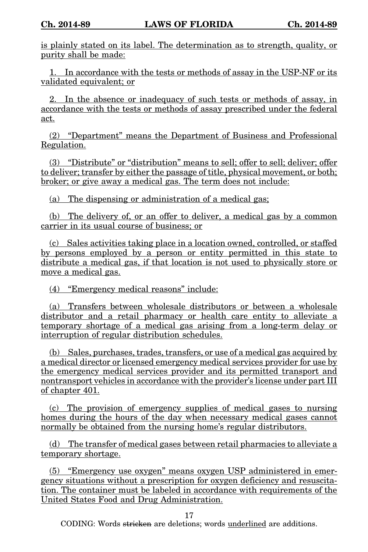is plainly stated on its label. The determination as to strength, quality, or purity shall be made:

1. In accordance with the tests or methods of assay in the USP-NF or its validated equivalent; or

2. In the absence or inadequacy of such tests or methods of assay, in accordance with the tests or methods of assay prescribed under the federal act.

(2) "Department" means the Department of Business and Professional Regulation.

(3) "Distribute" or "distribution" means to sell; offer to sell; deliver; offer to deliver; transfer by either the passage of title, physical movement, or both; broker; or give away a medical gas. The term does not include:

(a) The dispensing or administration of a medical gas;

(b) The delivery of, or an offer to deliver, a medical gas by a common carrier in its usual course of business; or

(c) Sales activities taking place in a location owned, controlled, or staffed by persons employed by a person or entity permitted in this state to distribute a medical gas, if that location is not used to physically store or move a medical gas.

(4) "Emergency medical reasons" include:

(a) Transfers between wholesale distributors or between a wholesale distributor and a retail pharmacy or health care entity to alleviate a temporary shortage of a medical gas arising from a long-term delay or interruption of regular distribution schedules.

(b) Sales, purchases, trades, transfers, or use of a medical gas acquired by a medical director or licensed emergency medical services provider for use by the emergency medical services provider and its permitted transport and nontransport vehicles in accordance with the provider's license under part III of chapter 401.

(c) The provision of emergency supplies of medical gases to nursing homes during the hours of the day when necessary medical gases cannot normally be obtained from the nursing home's regular distributors.

(d) The transfer of medical gases between retail pharmacies to alleviate a temporary shortage.

(5) "Emergency use oxygen" means oxygen USP administered in emergency situations without a prescription for oxygen deficiency and resuscitation. The container must be labeled in accordance with requirements of the United States Food and Drug Administration.

17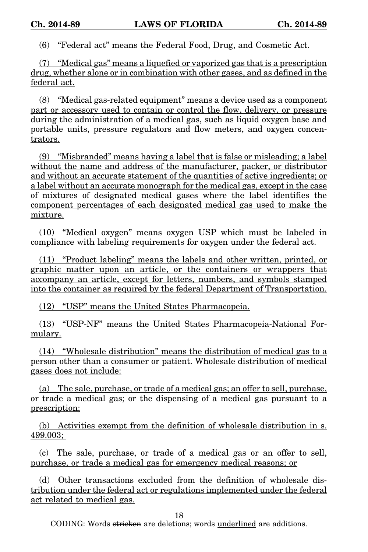(6) "Federal act" means the Federal Food, Drug, and Cosmetic Act.

(7) "Medical gas" means a liquefied or vaporized gas that is a prescription drug, whether alone or in combination with other gases, and as defined in the federal act.

(8) "Medical gas-related equipment" means a device used as a component part or accessory used to contain or control the flow, delivery, or pressure during the administration of a medical gas, such as liquid oxygen base and portable units, pressure regulators and flow meters, and oxygen concentrators.

(9) "Misbranded" means having a label that is false or misleading; a label without the name and address of the manufacturer, packer, or distributor and without an accurate statement of the quantities of active ingredients; or a label without an accurate monograph for the medical gas, except in the case of mixtures of designated medical gases where the label identifies the component percentages of each designated medical gas used to make the mixture.

(10) "Medical oxygen" means oxygen USP which must be labeled in compliance with labeling requirements for oxygen under the federal act.

(11) "Product labeling" means the labels and other written, printed, or graphic matter upon an article, or the containers or wrappers that accompany an article, except for letters, numbers, and symbols stamped into the container as required by the federal Department of Transportation.

(12) "USP" means the United States Pharmacopeia.

(13) "USP-NF" means the United States Pharmacopeia-National Formulary.

(14) "Wholesale distribution" means the distribution of medical gas to a person other than a consumer or patient. Wholesale distribution of medical gases does not include:

(a) The sale, purchase, or trade of a medical gas; an offer to sell, purchase, or trade a medical gas; or the dispensing of a medical gas pursuant to a prescription;

(b) Activities exempt from the definition of wholesale distribution in s. 499.003;

(c) The sale, purchase, or trade of a medical gas or an offer to sell, purchase, or trade a medical gas for emergency medical reasons; or

(d) Other transactions excluded from the definition of wholesale distribution under the federal act or regulations implemented under the federal act related to medical gas.

18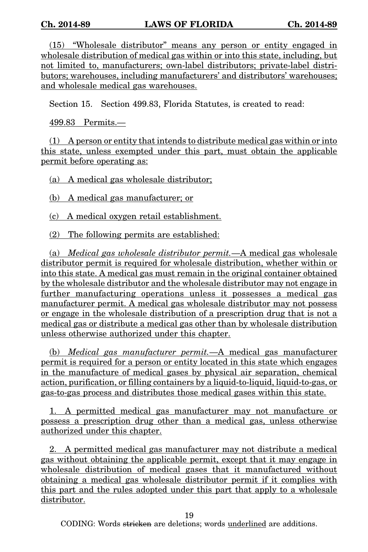(15) "Wholesale distributor" means any person or entity engaged in wholesale distribution of medical gas within or into this state, including, but not limited to, manufacturers; own-label distributors; private-label distributors; warehouses, including manufacturers' and distributors' warehouses; and wholesale medical gas warehouses.

Section 15. Section 499.83, Florida Statutes, is created to read:

499.83 Permits.—

(1) A person or entity that intends to distribute medical gas within or into this state, unless exempted under this part, must obtain the applicable permit before operating as:

(a) A medical gas wholesale distributor;

(b) A medical gas manufacturer; or

(c) A medical oxygen retail establishment.

(2) The following permits are established:

(a) *Medical gas wholesale distributor permit.*—A medical gas wholesale distributor permit is required for wholesale distribution, whether within or into this state. A medical gas must remain in the original container obtained by the wholesale distributor and the wholesale distributor may not engage in further manufacturing operations unless it possesses a medical gas manufacturer permit. A medical gas wholesale distributor may not possess or engage in the wholesale distribution of a prescription drug that is not a medical gas or distribute a medical gas other than by wholesale distribution unless otherwise authorized under this chapter.

(b) Medical gas manufacturer permit.—A medical gas manufacturer permit is required for a person or entity located in this state which engages in the manufacture of medical gases by physical air separation, chemical action, purification, or filling containers by a liquid-to-liquid, liquid-to-gas, or gas-to-gas process and distributes those medical gases within this state.

1. A permitted medical gas manufacturer may not manufacture or possess a prescription drug other than a medical gas, unless otherwise authorized under this chapter.

2. A permitted medical gas manufacturer may not distribute a medical gas without obtaining the applicable permit, except that it may engage in wholesale distribution of medical gases that it manufactured without obtaining a medical gas wholesale distributor permit if it complies with this part and the rules adopted under this part that apply to a wholesale distributor.

19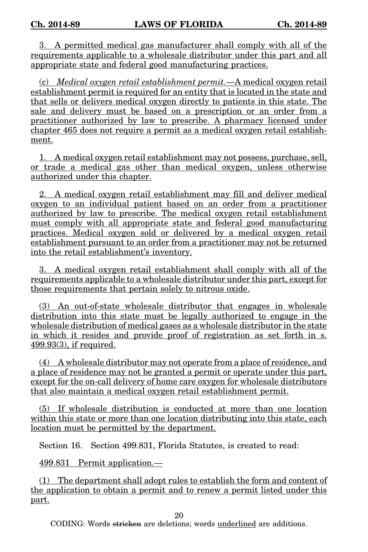3. A permitted medical gas manufacturer shall comply with all of the requirements applicable to a wholesale distributor under this part and all appropriate state and federal good manufacturing practices.

(c) Medical oxygen retail establishment permit.—A medical oxygen retail establishment permit is required for an entity that is located in the state and that sells or delivers medical oxygen directly to patients in this state. The sale and delivery must be based on a prescription or an order from a practitioner authorized by law to prescribe. A pharmacy licensed under chapter 465 does not require a permit as a medical oxygen retail establishment.

1. A medical oxygen retail establishment may not possess, purchase, sell, or trade a medical gas other than medical oxygen, unless otherwise authorized under this chapter.

2. A medical oxygen retail establishment may fill and deliver medical oxygen to an individual patient based on an order from a practitioner authorized by law to prescribe. The medical oxygen retail establishment must comply with all appropriate state and federal good manufacturing practices. Medical oxygen sold or delivered by a medical oxygen retail establishment pursuant to an order from a practitioner may not be returned into the retail establishment's inventory.

3. A medical oxygen retail establishment shall comply with all of the requirements applicable to a wholesale distributor under this part, except for those requirements that pertain solely to nitrous oxide.

(3) An out-of-state wholesale distributor that engages in wholesale distribution into this state must be legally authorized to engage in the wholesale distribution of medical gases as a wholesale distributor in the state in which it resides and provide proof of registration as set forth in s. 499.93(3), if required.

(4) A wholesale distributor may not operate from a place of residence, and a place of residence may not be granted a permit or operate under this part, except for the on-call delivery of home care oxygen for wholesale distributors that also maintain a medical oxygen retail establishment permit.

(5) If wholesale distribution is conducted at more than one location within this state or more than one location distributing into this state, each location must be permitted by the department.

Section 16. Section 499.831, Florida Statutes, is created to read:

499.831 Permit application.—

(1) The department shall adopt rules to establish the form and content of the application to obtain a permit and to renew a permit listed under this part.

20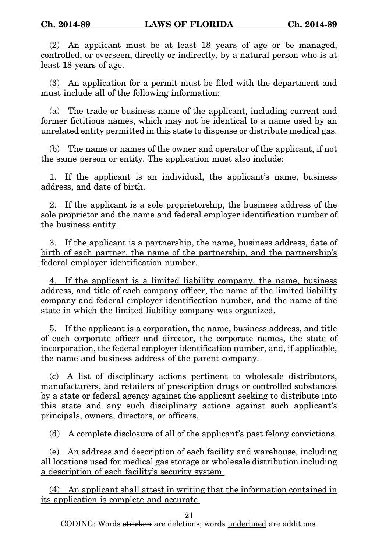(2) An applicant must be at least 18 years of age or be managed, controlled, or overseen, directly or indirectly, by a natural person who is at least 18 years of age.

(3) An application for a permit must be filed with the department and must include all of the following information:

(a) The trade or business name of the applicant, including current and former fictitious names, which may not be identical to a name used by an unrelated entity permitted in this state to dispense or distribute medical gas.

(b) The name or names of the owner and operator of the applicant, if not the same person or entity. The application must also include:

1. If the applicant is an individual, the applicant's name, business address, and date of birth.

2. If the applicant is a sole proprietorship, the business address of the sole proprietor and the name and federal employer identification number of the business entity.

3. If the applicant is a partnership, the name, business address, date of birth of each partner, the name of the partnership, and the partnership's federal employer identification number.

4. If the applicant is a limited liability company, the name, business address, and title of each company officer, the name of the limited liability company and federal employer identification number, and the name of the state in which the limited liability company was organized.

5. If the applicant is a corporation, the name, business address, and title of each corporate officer and director, the corporate names, the state of incorporation, the federal employer identification number, and, if applicable, the name and business address of the parent company.

(c) A list of disciplinary actions pertinent to wholesale distributors, manufacturers, and retailers of prescription drugs or controlled substances by a state or federal agency against the applicant seeking to distribute into this state and any such disciplinary actions against such applicant's principals, owners, directors, or officers.

(d) A complete disclosure of all of the applicant's past felony convictions.

(e) An address and description of each facility and warehouse, including all locations used for medical gas storage or wholesale distribution including a description of each facility's security system.

(4) An applicant shall attest in writing that the information contained in its application is complete and accurate.

21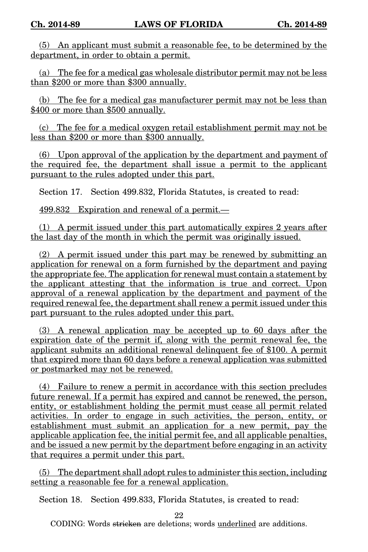(5) An applicant must submit a reasonable fee, to be determined by the department, in order to obtain a permit.

(a) The fee for a medical gas wholesale distributor permit may not be less than \$200 or more than \$300 annually.

(b) The fee for a medical gas manufacturer permit may not be less than \$400 or more than \$500 annually.

(c) The fee for a medical oxygen retail establishment permit may not be less than \$200 or more than \$300 annually.

(6) Upon approval of the application by the department and payment of the required fee, the department shall issue a permit to the applicant pursuant to the rules adopted under this part.

Section 17. Section 499.832, Florida Statutes, is created to read:

499.832 Expiration and renewal of a permit.—

(1) A permit issued under this part automatically expires 2 years after the last day of the month in which the permit was originally issued.

(2) A permit issued under this part may be renewed by submitting an application for renewal on a form furnished by the department and paying the appropriate fee. The application for renewal must contain a statement by the applicant attesting that the information is true and correct. Upon approval of a renewal application by the department and payment of the required renewal fee, the department shall renew a permit issued under this part pursuant to the rules adopted under this part.

(3) A renewal application may be accepted up to 60 days after the expiration date of the permit if, along with the permit renewal fee, the applicant submits an additional renewal delinquent fee of \$100. A permit that expired more than 60 days before a renewal application was submitted or postmarked may not be renewed.

(4) Failure to renew a permit in accordance with this section precludes future renewal. If a permit has expired and cannot be renewed, the person, entity, or establishment holding the permit must cease all permit related activities. In order to engage in such activities, the person, entity, or establishment must submit an application for a new permit, pay the applicable application fee, the initial permit fee, and all applicable penalties, and be issued a new permit by the department before engaging in an activity that requires a permit under this part.

(5) The department shall adopt rules to administer this section, including setting a reasonable fee for a renewal application.

Section 18. Section 499.833, Florida Statutes, is created to read:

22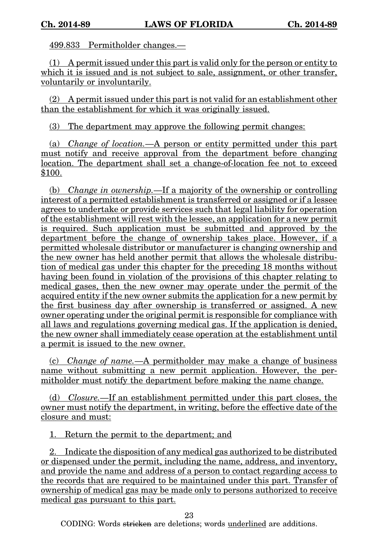499.833 Permitholder changes.—

(1) A permit issued under this part is valid only for the person or entity to which it is issued and is not subject to sale, assignment, or other transfer, voluntarily or involuntarily.

(2) A permit issued under this part is not valid for an establishment other than the establishment for which it was originally issued.

(3) The department may approve the following permit changes:

(a) Change of location.—A person or entity permitted under this part must notify and receive approval from the department before changing location. The department shall set a change-of-location fee not to exceed \$100.

(b) Change in ownership.—If a majority of the ownership or controlling interest of a permitted establishment is transferred or assigned or if a lessee agrees to undertake or provide services such that legal liability for operation of the establishment will rest with the lessee, an application for a new permit is required. Such application must be submitted and approved by the department before the change of ownership takes place. However, if a permitted wholesale distributor or manufacturer is changing ownership and the new owner has held another permit that allows the wholesale distribution of medical gas under this chapter for the preceding 18 months without having been found in violation of the provisions of this chapter relating to medical gases, then the new owner may operate under the permit of the acquired entity if the new owner submits the application for a new permit by the first business day after ownership is transferred or assigned. A new owner operating under the original permit is responsible for compliance with all laws and regulations governing medical gas. If the application is denied, the new owner shall immediately cease operation at the establishment until a permit is issued to the new owner.

(c) Change of name.—A permitholder may make a change of business name without submitting a new permit application. However, the permitholder must notify the department before making the name change.

(d) Closure.—If an establishment permitted under this part closes, the owner must notify the department, in writing, before the effective date of the closure and must:

1. Return the permit to the department; and

2. Indicate the disposition of any medical gas authorized to be distributed or dispensed under the permit, including the name, address, and inventory, and provide the name and address of a person to contact regarding access to the records that are required to be maintained under this part. Transfer of ownership of medical gas may be made only to persons authorized to receive medical gas pursuant to this part.

23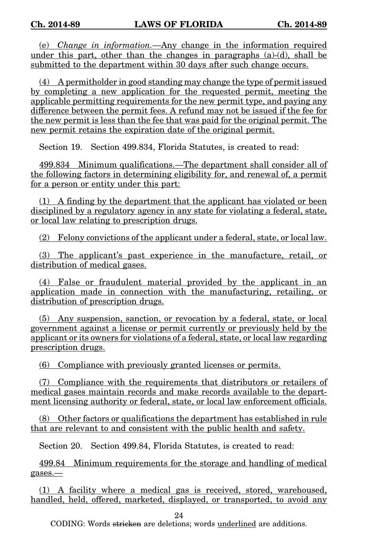(e) Change in information.—Any change in the information required under this part, other than the changes in paragraphs (a)-(d), shall be submitted to the department within 30 days after such change occurs.

(4) A permitholder in good standing may change the type of permit issued by completing a new application for the requested permit, meeting the applicable permitting requirements for the new permit type, and paying any difference between the permit fees. A refund may not be issued if the fee for the new permit is less than the fee that was paid for the original permit. The new permit retains the expiration date of the original permit.

Section 19. Section 499.834, Florida Statutes, is created to read:

499.834 Minimum qualifications.—The department shall consider all of the following factors in determining eligibility for, and renewal of, a permit for a person or entity under this part:

(1) A finding by the department that the applicant has violated or been disciplined by a regulatory agency in any state for violating a federal, state, or local law relating to prescription drugs.

(2) Felony convictions of the applicant under a federal, state, or local law.

(3) The applicant's past experience in the manufacture, retail, or distribution of medical gases.

(4) False or fraudulent material provided by the applicant in an application made in connection with the manufacturing, retailing, or distribution of prescription drugs.

(5) Any suspension, sanction, or revocation by a federal, state, or local government against a license or permit currently or previously held by the applicant or its owners for violations of a federal, state, or local law regarding prescription drugs.

(6) Compliance with previously granted licenses or permits.

(7) Compliance with the requirements that distributors or retailers of medical gases maintain records and make records available to the department licensing authority or federal, state, or local law enforcement officials.

(8) Other factors or qualifications the department has established in rule that are relevant to and consistent with the public health and safety.

Section 20. Section 499.84, Florida Statutes, is created to read:

499.84 Minimum requirements for the storage and handling of medical gases.—

(1) A facility where a medical gas is received, stored, warehoused, handled, held, offered, marketed, displayed, or transported, to avoid any

24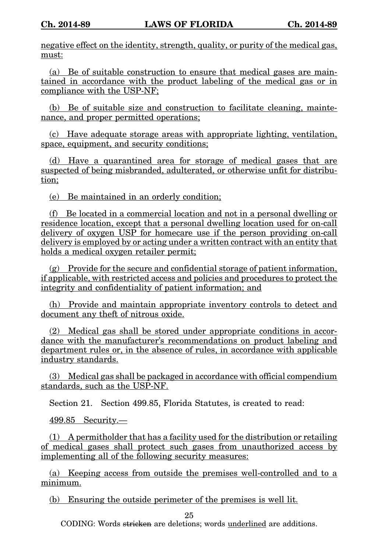negative effect on the identity, strength, quality, or purity of the medical gas, must:

(a) Be of suitable construction to ensure that medical gases are maintained in accordance with the product labeling of the medical gas or in compliance with the USP-NF;

(b) Be of suitable size and construction to facilitate cleaning, maintenance, and proper permitted operations;

(c) Have adequate storage areas with appropriate lighting, ventilation, space, equipment, and security conditions;

(d) Have a quarantined area for storage of medical gases that are suspected of being misbranded, adulterated, or otherwise unfit for distribution;

(e) Be maintained in an orderly condition;

(f) Be located in a commercial location and not in a personal dwelling or residence location, except that a personal dwelling location used for on-call delivery of oxygen USP for homecare use if the person providing on-call delivery is employed by or acting under a written contract with an entity that holds a medical oxygen retailer permit;

(g) Provide for the secure and confidential storage of patient information, if applicable, with restricted access and policies and procedures to protect the integrity and confidentiality of patient information; and

(h) Provide and maintain appropriate inventory controls to detect and document any theft of nitrous oxide.

(2) Medical gas shall be stored under appropriate conditions in accordance with the manufacturer's recommendations on product labeling and department rules or, in the absence of rules, in accordance with applicable industry standards.

(3) Medical gas shall be packaged in accordance with official compendium standards, such as the USP-NF.

Section 21. Section 499.85, Florida Statutes, is created to read:

499.85 Security.—

(1) A permitholder that has a facility used for the distribution or retailing of medical gases shall protect such gases from unauthorized access by implementing all of the following security measures:

(a) Keeping access from outside the premises well-controlled and to a minimum.

(b) Ensuring the outside perimeter of the premises is well lit.

25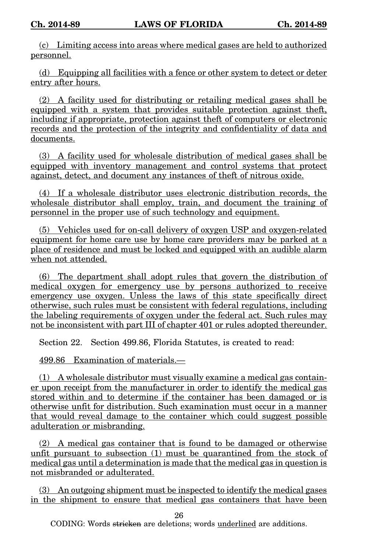(c) Limiting access into areas where medical gases are held to authorized personnel.

(d) Equipping all facilities with a fence or other system to detect or deter entry after hours.

(2) A facility used for distributing or retailing medical gases shall be equipped with a system that provides suitable protection against theft, including if appropriate, protection against theft of computers or electronic records and the protection of the integrity and confidentiality of data and documents.

(3) A facility used for wholesale distribution of medical gases shall be equipped with inventory management and control systems that protect against, detect, and document any instances of theft of nitrous oxide.

(4) If a wholesale distributor uses electronic distribution records, the wholesale distributor shall employ, train, and document the training of personnel in the proper use of such technology and equipment.

(5) Vehicles used for on-call delivery of oxygen USP and oxygen-related equipment for home care use by home care providers may be parked at a place of residence and must be locked and equipped with an audible alarm when not attended.

(6) The department shall adopt rules that govern the distribution of medical oxygen for emergency use by persons authorized to receive emergency use oxygen. Unless the laws of this state specifically direct otherwise, such rules must be consistent with federal regulations, including the labeling requirements of oxygen under the federal act. Such rules may not be inconsistent with part III of chapter 401 or rules adopted thereunder.

Section 22. Section 499.86, Florida Statutes, is created to read:

499.86 Examination of materials.—

(1) A wholesale distributor must visually examine a medical gas container upon receipt from the manufacturer in order to identify the medical gas stored within and to determine if the container has been damaged or is otherwise unfit for distribution. Such examination must occur in a manner that would reveal damage to the container which could suggest possible adulteration or misbranding.

(2) A medical gas container that is found to be damaged or otherwise unfit pursuant to subsection (1) must be quarantined from the stock of medical gas until a determination is made that the medical gas in question is not misbranded or adulterated.

(3) An outgoing shipment must be inspected to identify the medical gases in the shipment to ensure that medical gas containers that have been

26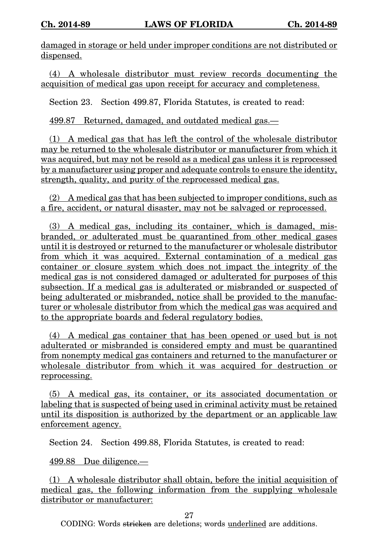damaged in storage or held under improper conditions are not distributed or dispensed.

(4) A wholesale distributor must review records documenting the acquisition of medical gas upon receipt for accuracy and completeness.

Section 23. Section 499.87, Florida Statutes, is created to read:

499.87 Returned, damaged, and outdated medical gas.—

(1) A medical gas that has left the control of the wholesale distributor may be returned to the wholesale distributor or manufacturer from which it was acquired, but may not be resold as a medical gas unless it is reprocessed by a manufacturer using proper and adequate controls to ensure the identity, strength, quality, and purity of the reprocessed medical gas.

(2) A medical gas that has been subjected to improper conditions, such as a fire, accident, or natural disaster, may not be salvaged or reprocessed.

(3) A medical gas, including its container, which is damaged, misbranded, or adulterated must be quarantined from other medical gases until it is destroyed or returned to the manufacturer or wholesale distributor from which it was acquired. External contamination of a medical gas container or closure system which does not impact the integrity of the medical gas is not considered damaged or adulterated for purposes of this subsection. If a medical gas is adulterated or misbranded or suspected of being adulterated or misbranded, notice shall be provided to the manufacturer or wholesale distributor from which the medical gas was acquired and to the appropriate boards and federal regulatory bodies.

(4) A medical gas container that has been opened or used but is not adulterated or misbranded is considered empty and must be quarantined from nonempty medical gas containers and returned to the manufacturer or wholesale distributor from which it was acquired for destruction or reprocessing.

(5) A medical gas, its container, or its associated documentation or labeling that is suspected of being used in criminal activity must be retained until its disposition is authorized by the department or an applicable law enforcement agency.

Section 24. Section 499.88, Florida Statutes, is created to read:

499.88 Due diligence.—

(1) A wholesale distributor shall obtain, before the initial acquisition of medical gas, the following information from the supplying wholesale distributor or manufacturer:

27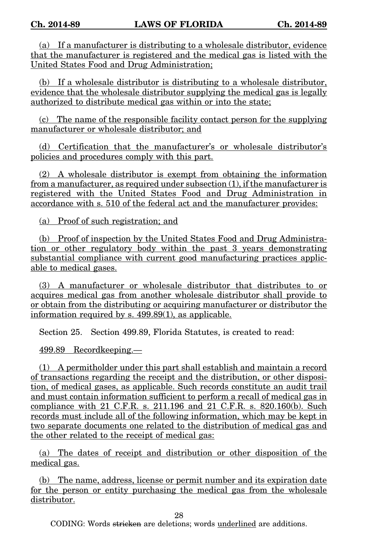(a) If a manufacturer is distributing to a wholesale distributor, evidence that the manufacturer is registered and the medical gas is listed with the United States Food and Drug Administration;

(b) If a wholesale distributor is distributing to a wholesale distributor, evidence that the wholesale distributor supplying the medical gas is legally authorized to distribute medical gas within or into the state;

(c) The name of the responsible facility contact person for the supplying manufacturer or wholesale distributor; and

(d) Certification that the manufacturer's or wholesale distributor's policies and procedures comply with this part.

(2) A wholesale distributor is exempt from obtaining the information from a manufacturer, as required under subsection (1), if the manufacturer is registered with the United States Food and Drug Administration in accordance with s. 510 of the federal act and the manufacturer provides:

(a) Proof of such registration; and

(b) Proof of inspection by the United States Food and Drug Administration or other regulatory body within the past 3 years demonstrating substantial compliance with current good manufacturing practices applicable to medical gases.

(3) A manufacturer or wholesale distributor that distributes to or acquires medical gas from another wholesale distributor shall provide to or obtain from the distributing or acquiring manufacturer or distributor the information required by s. 499.89(1), as applicable.

Section 25. Section 499.89, Florida Statutes, is created to read:

499.89 Recordkeeping.—

(1) A permitholder under this part shall establish and maintain a record of transactions regarding the receipt and the distribution, or other disposition, of medical gases, as applicable. Such records constitute an audit trail and must contain information sufficient to perform a recall of medical gas in compliance with 21 C.F.R. s. 211.196 and 21 C.F.R. s. 820.160(b). Such records must include all of the following information, which may be kept in two separate documents one related to the distribution of medical gas and the other related to the receipt of medical gas:

(a) The dates of receipt and distribution or other disposition of the medical gas.

(b) The name, address, license or permit number and its expiration date for the person or entity purchasing the medical gas from the wholesale distributor.

28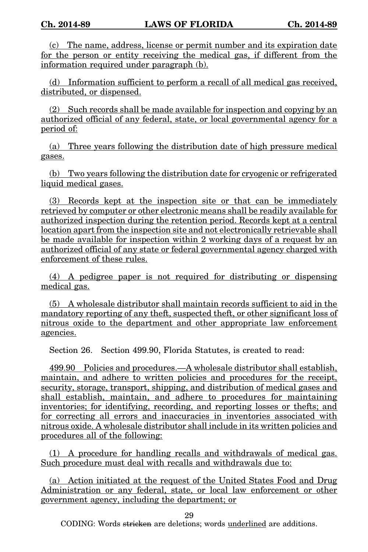(c) The name, address, license or permit number and its expiration date for the person or entity receiving the medical gas, if different from the information required under paragraph (b).

(d) Information sufficient to perform a recall of all medical gas received, distributed, or dispensed.

(2) Such records shall be made available for inspection and copying by an authorized official of any federal, state, or local governmental agency for a period of:

(a) Three years following the distribution date of high pressure medical gases.

(b) Two years following the distribution date for cryogenic or refrigerated liquid medical gases.

(3) Records kept at the inspection site or that can be immediately retrieved by computer or other electronic means shall be readily available for authorized inspection during the retention period. Records kept at a central location apart from the inspection site and not electronically retrievable shall be made available for inspection within 2 working days of a request by an authorized official of any state or federal governmental agency charged with enforcement of these rules.

(4) A pedigree paper is not required for distributing or dispensing medical gas.

(5) A wholesale distributor shall maintain records sufficient to aid in the mandatory reporting of any theft, suspected theft, or other significant loss of nitrous oxide to the department and other appropriate law enforcement agencies.

Section 26. Section 499.90, Florida Statutes, is created to read:

499.90 Policies and procedures.—A wholesale distributor shall establish, maintain, and adhere to written policies and procedures for the receipt, security, storage, transport, shipping, and distribution of medical gases and shall establish, maintain, and adhere to procedures for maintaining inventories; for identifying, recording, and reporting losses or thefts; and for correcting all errors and inaccuracies in inventories associated with nitrous oxide. A wholesale distributor shall include in its written policies and procedures all of the following:

(1) A procedure for handling recalls and withdrawals of medical gas. Such procedure must deal with recalls and withdrawals due to:

(a) Action initiated at the request of the United States Food and Drug Administration or any federal, state, or local law enforcement or other government agency, including the department; or

29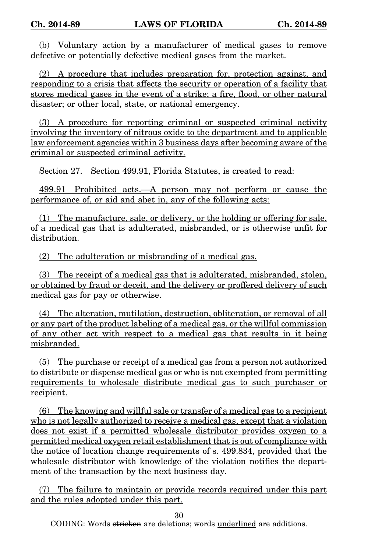(b) Voluntary action by a manufacturer of medical gases to remove defective or potentially defective medical gases from the market.

(2) A procedure that includes preparation for, protection against, and responding to a crisis that affects the security or operation of a facility that stores medical gases in the event of a strike; a fire, flood, or other natural disaster; or other local, state, or national emergency.

(3) A procedure for reporting criminal or suspected criminal activity involving the inventory of nitrous oxide to the department and to applicable law enforcement agencies within 3 business days after becoming aware of the criminal or suspected criminal activity.

Section 27. Section 499.91, Florida Statutes, is created to read:

499.91 Prohibited acts.—A person may not perform or cause the performance of, or aid and abet in, any of the following acts:

(1) The manufacture, sale, or delivery, or the holding or offering for sale, of a medical gas that is adulterated, misbranded, or is otherwise unfit for distribution.

(2) The adulteration or misbranding of a medical gas.

(3) The receipt of a medical gas that is adulterated, misbranded, stolen, or obtained by fraud or deceit, and the delivery or proffered delivery of such medical gas for pay or otherwise.

(4) The alteration, mutilation, destruction, obliteration, or removal of all or any part of the product labeling of a medical gas, or the willful commission of any other act with respect to a medical gas that results in it being misbranded.

(5) The purchase or receipt of a medical gas from a person not authorized to distribute or dispense medical gas or who is not exempted from permitting requirements to wholesale distribute medical gas to such purchaser or recipient.

(6) The knowing and willful sale or transfer of a medical gas to a recipient who is not legally authorized to receive a medical gas, except that a violation does not exist if a permitted wholesale distributor provides oxygen to a permitted medical oxygen retail establishment that is out of compliance with the notice of location change requirements of s. 499.834, provided that the wholesale distributor with knowledge of the violation notifies the department of the transaction by the next business day.

(7) The failure to maintain or provide records required under this part and the rules adopted under this part.

30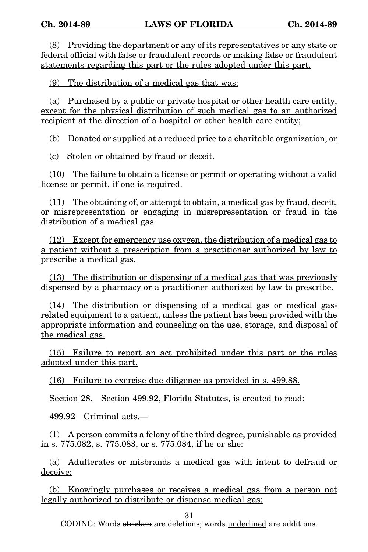(8) Providing the department or any of its representatives or any state or federal official with false or fraudulent records or making false or fraudulent statements regarding this part or the rules adopted under this part.

(9) The distribution of a medical gas that was:

(a) Purchased by a public or private hospital or other health care entity, except for the physical distribution of such medical gas to an authorized recipient at the direction of a hospital or other health care entity;

(b) Donated or supplied at a reduced price to a charitable organization; or

(c) Stolen or obtained by fraud or deceit.

(10) The failure to obtain a license or permit or operating without a valid license or permit, if one is required.

(11) The obtaining of, or attempt to obtain, a medical gas by fraud, deceit, or misrepresentation or engaging in misrepresentation or fraud in the distribution of a medical gas.

(12) Except for emergency use oxygen, the distribution of a medical gas to a patient without a prescription from a practitioner authorized by law to prescribe a medical gas.

(13) The distribution or dispensing of a medical gas that was previously dispensed by a pharmacy or a practitioner authorized by law to prescribe.

(14) The distribution or dispensing of a medical gas or medical gasrelated equipment to a patient, unless the patient has been provided with the appropriate information and counseling on the use, storage, and disposal of the medical gas.

(15) Failure to report an act prohibited under this part or the rules adopted under this part.

(16) Failure to exercise due diligence as provided in s. 499.88.

Section 28. Section 499.92, Florida Statutes, is created to read:

499.92 Criminal acts.—

(1) A person commits a felony of the third degree, punishable as provided in s. 775.082, s. 775.083, or s. 775.084, if he or she:

(a) Adulterates or misbrands a medical gas with intent to defraud or deceive;

(b) Knowingly purchases or receives a medical gas from a person not legally authorized to distribute or dispense medical gas;

31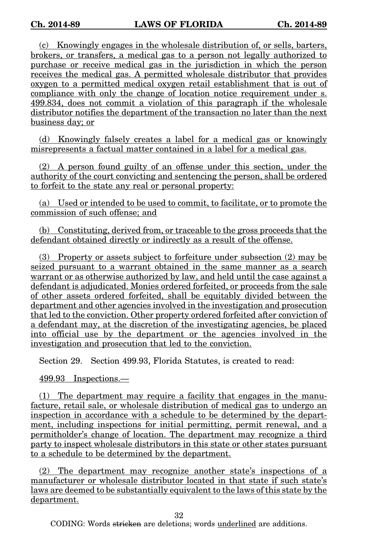(c) Knowingly engages in the wholesale distribution of, or sells, barters, brokers, or transfers, a medical gas to a person not legally authorized to purchase or receive medical gas in the jurisdiction in which the person receives the medical gas. A permitted wholesale distributor that provides oxygen to a permitted medical oxygen retail establishment that is out of compliance with only the change of location notice requirement under s. 499.834, does not commit a violation of this paragraph if the wholesale distributor notifies the department of the transaction no later than the next business day; or

(d) Knowingly falsely creates a label for a medical gas or knowingly misrepresents a factual matter contained in a label for a medical gas.

(2) A person found guilty of an offense under this section, under the authority of the court convicting and sentencing the person, shall be ordered to forfeit to the state any real or personal property:

(a) Used or intended to be used to commit, to facilitate, or to promote the commission of such offense; and

(b) Constituting, derived from, or traceable to the gross proceeds that the defendant obtained directly or indirectly as a result of the offense.

(3) Property or assets subject to forfeiture under subsection (2) may be seized pursuant to a warrant obtained in the same manner as a search warrant or as otherwise authorized by law, and held until the case against a defendant is adjudicated. Monies ordered forfeited, or proceeds from the sale of other assets ordered forfeited, shall be equitably divided between the department and other agencies involved in the investigation and prosecution that led to the conviction. Other property ordered forfeited after conviction of a defendant may, at the discretion of the investigating agencies, be placed into official use by the department or the agencies involved in the investigation and prosecution that led to the conviction.

Section 29. Section 499.93, Florida Statutes, is created to read:

499.93 Inspections.—

(1) The department may require a facility that engages in the manufacture, retail sale, or wholesale distribution of medical gas to undergo an inspection in accordance with a schedule to be determined by the department, including inspections for initial permitting, permit renewal, and a permitholder's change of location. The department may recognize a third party to inspect wholesale distributors in this state or other states pursuant to a schedule to be determined by the department.

(2) The department may recognize another state's inspections of a manufacturer or wholesale distributor located in that state if such state's laws are deemed to be substantially equivalent to the laws of this state by the department.

32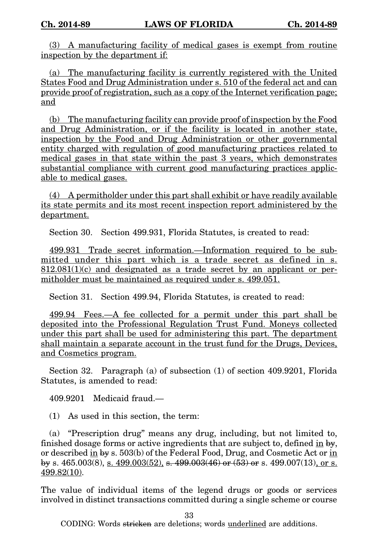(3) A manufacturing facility of medical gases is exempt from routine inspection by the department if:

(a) The manufacturing facility is currently registered with the United States Food and Drug Administration under s. 510 of the federal act and can provide proof of registration, such as a copy of the Internet verification page; and

(b) The manufacturing facility can provide proof of inspection by the Food and Drug Administration, or if the facility is located in another state, inspection by the Food and Drug Administration or other governmental entity charged with regulation of good manufacturing practices related to medical gases in that state within the past 3 years, which demonstrates substantial compliance with current good manufacturing practices applicable to medical gases.

(4) A permitholder under this part shall exhibit or have readily available its state permits and its most recent inspection report administered by the department.

Section 30. Section 499.931, Florida Statutes, is created to read:

499.931 Trade secret information.—Information required to be submitted under this part which is a trade secret as defined in s.  $812.081(1)(c)$  and designated as a trade secret by an applicant or permitholder must be maintained as required under s. 499.051.

Section 31. Section 499.94, Florida Statutes, is created to read:

499.94 Fees.—A fee collected for a permit under this part shall be deposited into the Professional Regulation Trust Fund. Moneys collected under this part shall be used for administering this part. The department shall maintain a separate account in the trust fund for the Drugs, Devices, and Cosmetics program.

Section 32. Paragraph (a) of subsection (1) of section 409.9201, Florida Statutes, is amended to read:

409.9201 Medicaid fraud.—

(1) As used in this section, the term:

(a) "Prescription drug" means any drug, including, but not limited to, finished dosage forms or active ingredients that are subject to, defined in by, or described in by s. 503(b) of the Federal Food, Drug, and Cosmetic Act or in by s. 465.003(8), s. 499.003(52), s. 499.003(46) or (53) or s. 499.007(13), or s. 499.82(10).

The value of individual items of the legend drugs or goods or services involved in distinct transactions committed during a single scheme or course

33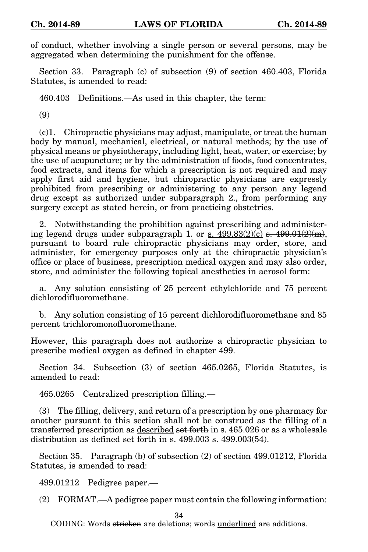of conduct, whether involving a single person or several persons, may be aggregated when determining the punishment for the offense.

Section 33. Paragraph (c) of subsection (9) of section 460.403, Florida Statutes, is amended to read:

460.403 Definitions.—As used in this chapter, the term:

(9)

(c)1. Chiropractic physicians may adjust, manipulate, or treat the human body by manual, mechanical, electrical, or natural methods; by the use of physical means or physiotherapy, including light, heat, water, or exercise; by the use of acupuncture; or by the administration of foods, food concentrates, food extracts, and items for which a prescription is not required and may apply first aid and hygiene, but chiropractic physicians are expressly prohibited from prescribing or administering to any person any legend drug except as authorized under subparagraph 2., from performing any surgery except as stated herein, or from practicing obstetrics.

2. Notwithstanding the prohibition against prescribing and administering legend drugs under subparagraph 1. or s.  $499.83(2)(c)$  s.  $499.01(2)(m)$ , pursuant to board rule chiropractic physicians may order, store, and administer, for emergency purposes only at the chiropractic physician's office or place of business, prescription medical oxygen and may also order, store, and administer the following topical anesthetics in aerosol form:

a. Any solution consisting of 25 percent ethylchloride and 75 percent dichlorodifluoromethane.

b. Any solution consisting of 15 percent dichlorodifluoromethane and 85 percent trichloromonofluoromethane.

However, this paragraph does not authorize a chiropractic physician to prescribe medical oxygen as defined in chapter 499.

Section 34. Subsection (3) of section 465.0265, Florida Statutes, is amended to read:

465.0265 Centralized prescription filling.—

(3) The filling, delivery, and return of a prescription by one pharmacy for another pursuant to this section shall not be construed as the filling of a transferred prescription as described set forth in s. 465.026 or as a wholesale distribution as defined set forth in s. 499.003 s. 499.003(54).

Section 35. Paragraph (b) of subsection (2) of section 499.01212, Florida Statutes, is amended to read:

499.01212 Pedigree paper.—

(2) FORMAT.—A pedigree paper must contain the following information:

34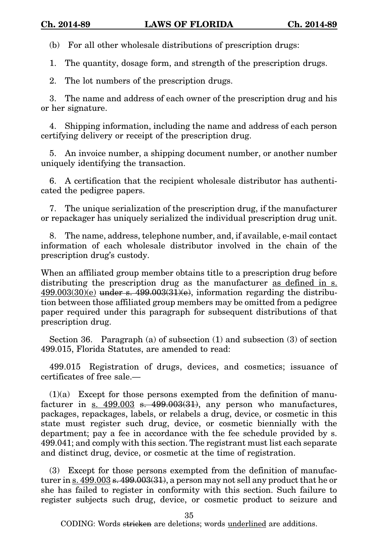(b) For all other wholesale distributions of prescription drugs:

1. The quantity, dosage form, and strength of the prescription drugs.

2. The lot numbers of the prescription drugs.

3. The name and address of each owner of the prescription drug and his or her signature.

4. Shipping information, including the name and address of each person certifying delivery or receipt of the prescription drug.

5. An invoice number, a shipping document number, or another number uniquely identifying the transaction.

6. A certification that the recipient wholesale distributor has authenticated the pedigree papers.

7. The unique serialization of the prescription drug, if the manufacturer or repackager has uniquely serialized the individual prescription drug unit.

8. The name, address, telephone number, and, if available, e-mail contact information of each wholesale distributor involved in the chain of the prescription drug's custody.

When an affiliated group member obtains title to a prescription drug before distributing the prescription drug as the manufacturer as defined in s.  $499.003(30)(e)$  under s.  $499.003(31)(e)$ , information regarding the distribution between those affiliated group members may be omitted from a pedigree paper required under this paragraph for subsequent distributions of that prescription drug.

Section 36. Paragraph (a) of subsection (1) and subsection (3) of section 499.015, Florida Statutes, are amended to read:

499.015 Registration of drugs, devices, and cosmetics; issuance of certificates of free sale.—

 $(1)(a)$  Except for those persons exempted from the definition of manufacturer in  $\sin \frac{499.003}{\sin \frac{499.003}{31}}$ , any person who manufactures, packages, repackages, labels, or relabels a drug, device, or cosmetic in this state must register such drug, device, or cosmetic biennially with the department; pay a fee in accordance with the fee schedule provided by s. 499.041; and comply with this section. The registrant must list each separate and distinct drug, device, or cosmetic at the time of registration.

(3) Except for those persons exempted from the definition of manufacturer in s.  $499.003$  s.  $499.003(31)$ , a person may not sell any product that he or she has failed to register in conformity with this section. Such failure to register subjects such drug, device, or cosmetic product to seizure and

35